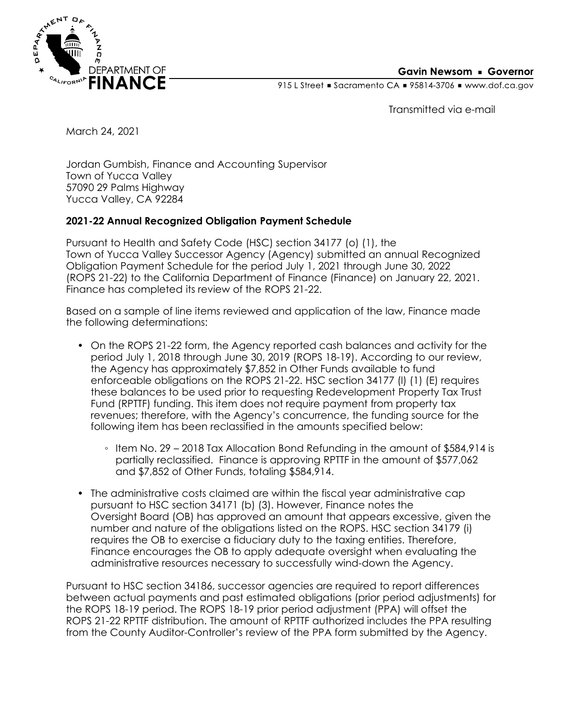

915 L Street Gacramento CA = 95814-3706 Www.dof.ca.gov

Transmitted via e-mail

March 24, 2021

Jordan Gumbish, Finance and Accounting Supervisor Town of Yucca Valley 57090 29 Palms Highway Yucca Valley, CA 92284

## **2021-22 Annual Recognized Obligation Payment Schedule**

Pursuant to Health and Safety Code (HSC) section 34177 (o) (1), the Town of Yucca Valley Successor Agency (Agency) submitted an annual Recognized Obligation Payment Schedule for the period July 1, 2021 through June 30, 2022 (ROPS 21-22) to the California Department of Finance (Finance) on January 22, 2021. Finance has completed its review of the ROPS 21-22.

Based on a sample of line items reviewed and application of the law, Finance made the following determinations:

- On the ROPS 21-22 form, the Agency reported cash balances and activity for the period July 1, 2018 through June 30, 2019 (ROPS 18-19). According to our review, the Agency has approximately \$7,852 in Other Funds available to fund enforceable obligations on the ROPS 21-22. HSC section 34177 (l) (1) (E) requires these balances to be used prior to requesting Redevelopment Property Tax Trust Fund (RPTTF) funding. This item does not require payment from property tax revenues; therefore, with the Agency's concurrence, the funding source for the following item has been reclassified in the amounts specified below:
	- Item No. 29 2018 Tax Allocation Bond Refunding in the amount of \$584,914 is partially reclassified. Finance is approving RPTTF in the amount of \$577,062 and \$7,852 of Other Funds, totaling \$584,914.
- The administrative costs claimed are within the fiscal year administrative cap pursuant to HSC section 34171 (b) (3). However, Finance notes the Oversight Board (OB) has approved an amount that appears excessive, given the number and nature of the obligations listed on the ROPS. HSC section 34179 (i) requires the OB to exercise a fiduciary duty to the taxing entities. Therefore, Finance encourages the OB to apply adequate oversight when evaluating the administrative resources necessary to successfully wind-down the Agency.

Pursuant to HSC section 34186, successor agencies are required to report differences between actual payments and past estimated obligations (prior period adjustments) for the ROPS 18-19 period. The ROPS 18-19 prior period adjustment (PPA) will offset the ROPS 21-22 RPTTF distribution. The amount of RPTTF authorized includes the PPA resulting from the County Auditor-Controller's review of the PPA form submitted by the Agency.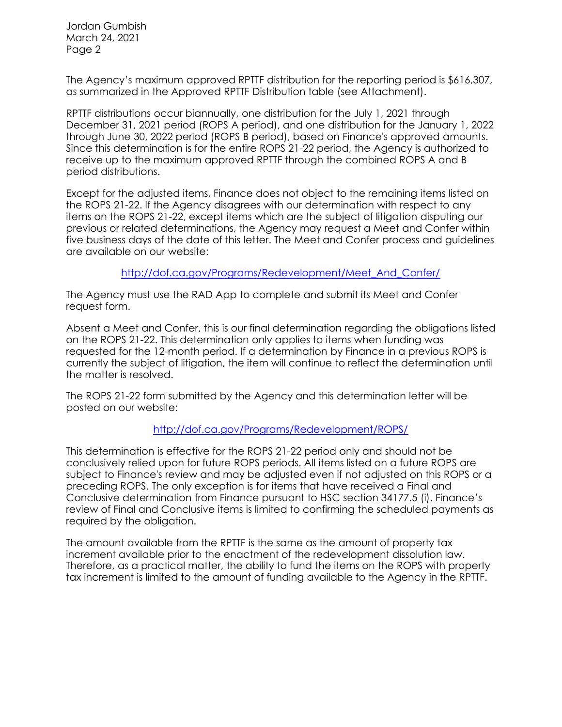Jordan Gumbish March 24, 2021 Page 2

The Agency's maximum approved RPTTF distribution for the reporting period is \$616,307, as summarized in the Approved RPTTF Distribution table (see Attachment).

RPTTF distributions occur biannually, one distribution for the July 1, 2021 through December 31, 2021 period (ROPS A period), and one distribution for the January 1, 2022 through June 30, 2022 period (ROPS B period), based on Finance's approved amounts. Since this determination is for the entire ROPS 21-22 period, the Agency is authorized to receive up to the maximum approved RPTTF through the combined ROPS A and B period distributions.

Except for the adjusted items, Finance does not object to the remaining items listed on the ROPS 21-22. If the Agency disagrees with our determination with respect to any items on the ROPS 21-22, except items which are the subject of litigation disputing our previous or related determinations, the Agency may request a Meet and Confer within five business days of the date of this letter. The Meet and Confer process and guidelines are available on our website:

[http://dof.ca.gov/Programs/Redevelopment/Meet\\_And\\_Confer/](http://dof.ca.gov/Programs/Redevelopment/Meet_And_Confer/) 

The Agency must use the RAD App to complete and submit its Meet and Confer request form.

Absent a Meet and Confer, this is our final determination regarding the obligations listed on the ROPS 21-22. This determination only applies to items when funding was requested for the 12-month period. If a determination by Finance in a previous ROPS is currently the subject of litigation, the item will continue to reflect the determination until the matter is resolved.

The ROPS 21-22 form submitted by the Agency and this determination letter will be posted on our website:

## <http://dof.ca.gov/Programs/Redevelopment/ROPS/>

This determination is effective for the ROPS 21-22 period only and should not be conclusively relied upon for future ROPS periods. All items listed on a future ROPS are subject to Finance's review and may be adjusted even if not adjusted on this ROPS or a preceding ROPS. The only exception is for items that have received a Final and Conclusive determination from Finance pursuant to HSC section 34177.5 (i). Finance's review of Final and Conclusive items is limited to confirming the scheduled payments as required by the obligation.

The amount available from the RPTTF is the same as the amount of property tax increment available prior to the enactment of the redevelopment dissolution law. Therefore, as a practical matter, the ability to fund the items on the ROPS with property tax increment is limited to the amount of funding available to the Agency in the RPTTF.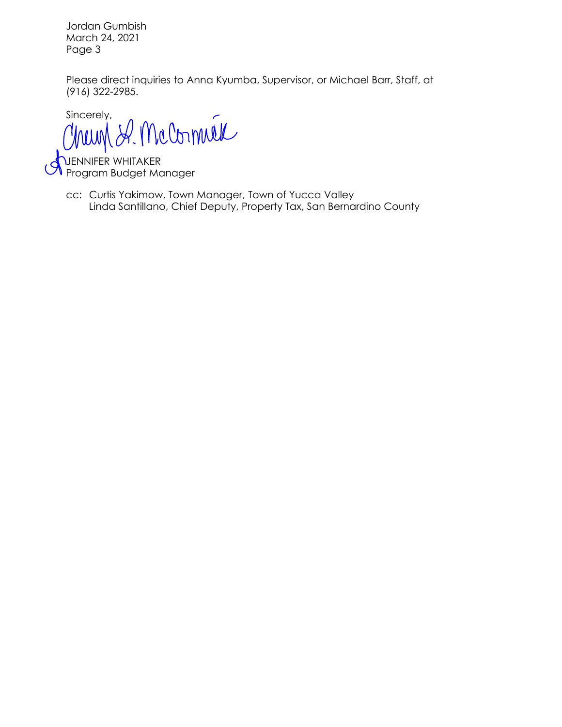Jordan Gumbish March 24, 2021 Page 3

Please direct inquiries to Anna Kyumba, Supervisor, or Michael Barr, Staff, at (916) 322-2985.

Sincerely, A. McCornuel hum

JENNIFER WHITAKER Program Budget Manager

Linda Santillano, Chief Deputy, Property Tax, San Bernardino County cc: Curtis Yakimow, Town Manager, Town of Yucca Valley